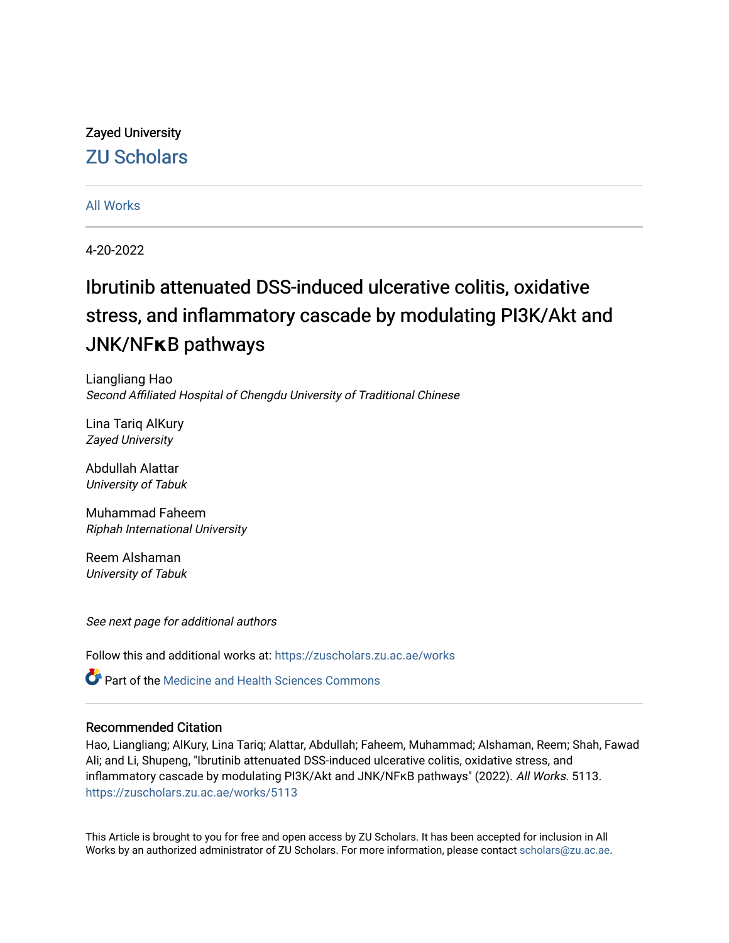## Zayed University [ZU Scholars](https://zuscholars.zu.ac.ae/)

## [All Works](https://zuscholars.zu.ac.ae/works)

4-20-2022

# Ibrutinib attenuated DSS-induced ulcerative colitis, oxidative stress, and inflammatory cascade by modulating PI3K/Akt and JNK/NF**κ**B pathways

Liangliang Hao Second Affiliated Hospital of Chengdu University of Traditional Chinese

Lina Tariq AlKury Zayed University

Abdullah Alattar University of Tabuk

Muhammad Faheem Riphah International University

Reem Alshaman University of Tabuk

See next page for additional authors

Follow this and additional works at: [https://zuscholars.zu.ac.ae/works](https://zuscholars.zu.ac.ae/works?utm_source=zuscholars.zu.ac.ae%2Fworks%2F5113&utm_medium=PDF&utm_campaign=PDFCoverPages)

**Part of the Medicine and Health Sciences Commons** 

## Recommended Citation

Hao, Liangliang; AlKury, Lina Tariq; Alattar, Abdullah; Faheem, Muhammad; Alshaman, Reem; Shah, Fawad Ali; and Li, Shupeng, "Ibrutinib attenuated DSS-induced ulcerative colitis, oxidative stress, and inflammatory cascade by modulating PI3K/Akt and JNK/NFKB pathways" (2022). All Works. 5113. [https://zuscholars.zu.ac.ae/works/5113](https://zuscholars.zu.ac.ae/works/5113?utm_source=zuscholars.zu.ac.ae%2Fworks%2F5113&utm_medium=PDF&utm_campaign=PDFCoverPages)

This Article is brought to you for free and open access by ZU Scholars. It has been accepted for inclusion in All Works by an authorized administrator of ZU Scholars. For more information, please contact [scholars@zu.ac.ae](mailto:scholars@zu.ac.ae).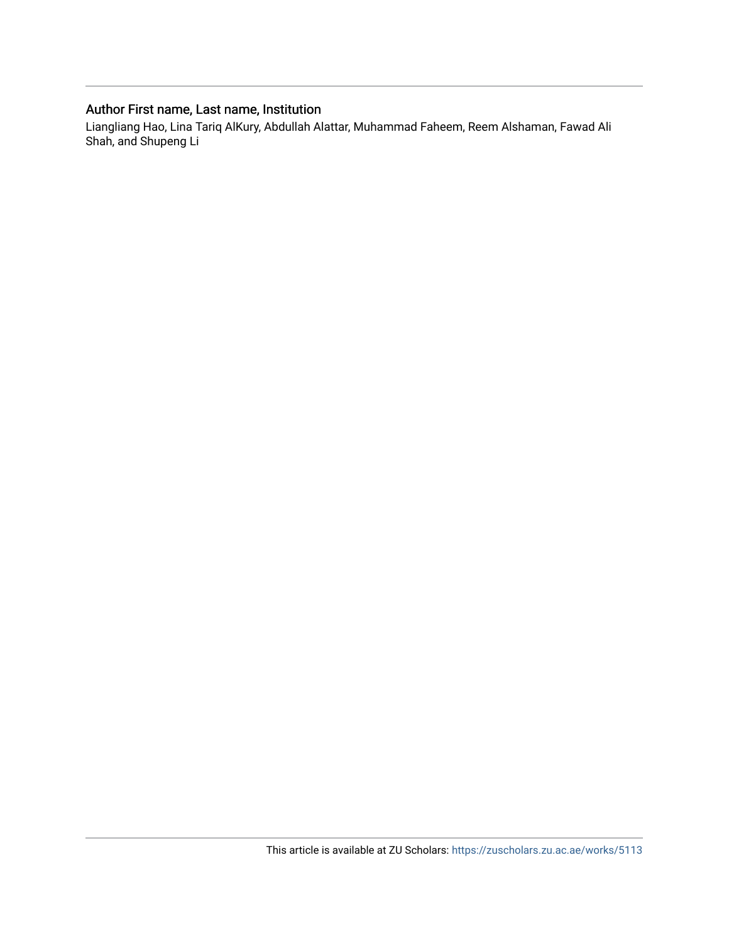## Author First name, Last name, Institution

Liangliang Hao, Lina Tariq AlKury, Abdullah Alattar, Muhammad Faheem, Reem Alshaman, Fawad Ali Shah, and Shupeng Li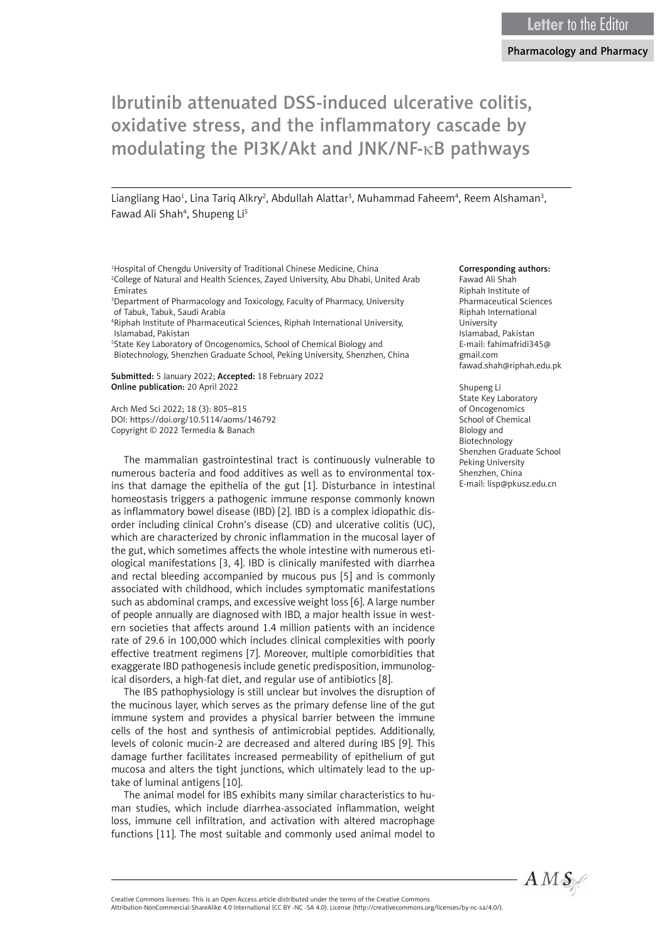Liangliang Hao<sup>1</sup>, Lina Tariq Alkry<sup>2</sup>, Abdullah Alattar<sup>3</sup>, Muhammad Faheem<sup>4</sup>, Reem Alshaman<sup>3</sup>, Fawad Ali Shah<sup>4</sup>, Shupeng Li<sup>5</sup>

1 Hospital of Chengdu University of Traditional Chinese Medicine, China 2 College of Natural and Health Sciences, Zayed University, Abu Dhabi, United Arab Emirates

3 Department of Pharmacology and Toxicology, Faculty of Pharmacy, University of Tabuk, Tabuk, Saudi Arabia

4 Riphah Institute of Pharmaceutical Sciences, Riphah International University, Islamabad, Pakistan

5 State Key Laboratory of Oncogenomics, School of Chemical Biology and Biotechnology, Shenzhen Graduate School, Peking University, Shenzhen, China

Submitted: 5 January 2022; Accepted: 18 February 2022 Online publication: 20 April 2022

Arch Med Sci 2022; 18 (3): 805–815 DOI: https://doi.org/10.5114/aoms/146792 Copyright © 2022 Termedia & Banach

The mammalian gastrointestinal tract is continuously vulnerable to numerous bacteria and food additives as well as to environmental toxins that damage the epithelia of the gut [1]. Disturbance in intestinal homeostasis triggers a pathogenic immune response commonly known as inflammatory bowel disease (IBD) [2]. IBD is a complex idiopathic disorder including clinical Crohn's disease (CD) and ulcerative colitis (UC), which are characterized by chronic inflammation in the mucosal layer of the gut, which sometimes affects the whole intestine with numerous etiological manifestations [3, 4]. IBD is clinically manifested with diarrhea and rectal bleeding accompanied by mucous pus [5] and is commonly associated with childhood, which includes symptomatic manifestations such as abdominal cramps, and excessive weight loss [6]. A large number of people annually are diagnosed with IBD, a major health issue in western societies that affects around 1.4 million patients with an incidence rate of 29.6 in 100,000 which includes clinical complexities with poorly effective treatment regimens [7]. Moreover, multiple comorbidities that exaggerate IBD pathogenesis include genetic predisposition, immunological disorders, a high-fat diet, and regular use of antibiotics [8].

The IBS pathophysiology is still unclear but involves the disruption of the mucinous layer, which serves as the primary defense line of the gut immune system and provides a physical barrier between the immune cells of the host and synthesis of antimicrobial peptides. Additionally, levels of colonic mucin-2 are decreased and altered during IBS [9]. This damage further facilitates increased permeability of epithelium of gut mucosa and alters the tight junctions, which ultimately lead to the uptake of luminal antigens [10].

The animal model for IBS exhibits many similar characteristics to human studies, which include diarrhea-associated inflammation, weight loss, immune cell infiltration, and activation with altered macrophage functions [11]. The most suitable and commonly used animal model to

#### Corresponding authors:

Fawad Ali Shah Riphah Institute of Pharmaceutical Sciences Riphah International University Islamabad, Pakistan E-mail: [fahimafridi345@](mailto:fahimafridi345@gmail.com) [gmail.com](mailto:fahimafridi345@gmail.com) [fawad.shah@riphah.edu.pk](mailto:fawad.shah@riphah.edu.pk)

Shupeng Li State Key Laboratory of Oncogenomics School of Chemical Biology and Biotechnology Shenzhen Graduate School Peking University Shenzhen, China E-mail: lisp@pkusz.edu.cn



Attribution-NonCommercial-ShareAlike 4.0 International (CC BY -NC -SA 4.0). License (http://creativecommons.org/licenses/by-nc-sa/4.0/).

Creative Commons licenses: This is an Open Access article distributed under the terms of the Creative Commons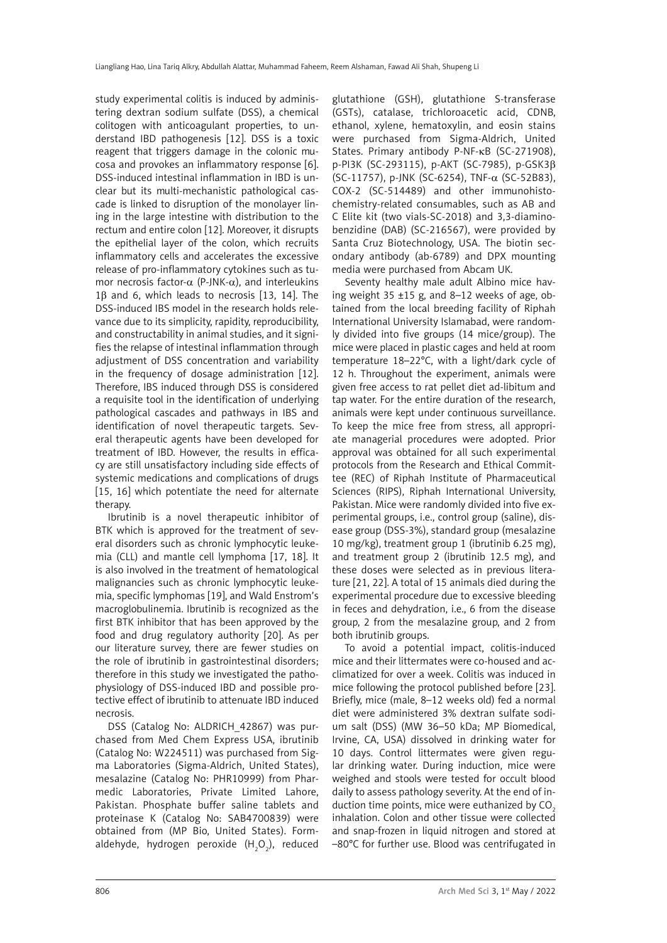study experimental colitis is induced by administering dextran sodium sulfate (DSS), a chemical colitogen with anticoagulant properties, to understand IBD pathogenesis [12]. DSS is a toxic reagent that triggers damage in the colonic mucosa and provokes an inflammatory response [6]. DSS-induced intestinal inflammation in IBD is unclear but its multi-mechanistic pathological cascade is linked to disruption of the monolayer lining in the large intestine with distribution to the rectum and entire colon [12]. Moreover, it disrupts the epithelial layer of the colon, which recruits inflammatory cells and accelerates the excessive release of pro-inflammatory cytokines such as tumor necrosis factor- $\alpha$  (P-JNK- $\alpha$ ), and interleukins 1β and 6, which leads to necrosis [13, 14]. The DSS-induced IBS model in the research holds relevance due to its simplicity, rapidity, reproducibility, and constructability in animal studies, and it signifies the relapse of intestinal inflammation through adjustment of DSS concentration and variability in the frequency of dosage administration [12]. Therefore, IBS induced through DSS is considered a requisite tool in the identification of underlying pathological cascades and pathways in IBS and identification of novel therapeutic targets. Several therapeutic agents have been developed for treatment of IBD. However, the results in efficacy are still unsatisfactory including side effects of systemic medications and complications of drugs [15, 16] which potentiate the need for alternate therapy.

Ibrutinib is a novel therapeutic inhibitor of BTK which is approved for the treatment of several disorders such as chronic lymphocytic leukemia (CLL) and mantle cell lymphoma [17, 18]. It is also involved in the treatment of hematological malignancies such as chronic lymphocytic leukemia, specific lymphomas [19], and Wald Enstrom's macroglobulinemia. Ibrutinib is recognized as the first BTK inhibitor that has been approved by the food and drug regulatory authority [20]. As per our literature survey, there are fewer studies on the role of ibrutinib in gastrointestinal disorders; therefore in this study we investigated the pathophysiology of DSS-induced IBD and possible protective effect of ibrutinib to attenuate IBD induced necrosis.

DSS (Catalog No: ALDRICH\_42867) was purchased from Med Chem Express USA, ibrutinib (Catalog No: W224511) was purchased from Sigma Laboratories (Sigma-Aldrich, United States), mesalazine (Catalog No: PHR10999) from Pharmedic Laboratories, Private Limited Lahore, Pakistan. Phosphate buffer saline tablets and proteinase K (Catalog No: SAB4700839) were obtained from (MP Bio, United States). Formaldehyde, hydrogen peroxide  $(\mathsf{H}_{2}\mathsf{O}_{2})$ , reduced

glutathione (GSH), glutathione S-transferase (GSTs), catalase, trichloroacetic acid, CDNB, ethanol, xylene, hematoxylin, and eosin stains were purchased from Sigma-Aldrich, United States. Primary antibody P-NF-κB (SC-271908), p-PI3K (SC-293115), p-AKT (SC-7985), p-GSK3β (SC-11757), p-JNK (SC-6254), TNF-α (SC-52B83), COX-2 (SC-514489) and other immunohistochemistry-related consumables, such as AB and C Elite kit (two vials-SC-2018) and 3,3-diaminobenzidine (DAB) (SC-216567), were provided by Santa Cruz Biotechnology, USA. The biotin secondary antibody (ab-6789) and DPX mounting media were purchased from Abcam UK.

Seventy healthy male adult Albino mice having weight  $35 \pm 15$  g, and  $8-12$  weeks of age, obtained from the local breeding facility of Riphah International University Islamabad, were randomly divided into five groups (14 mice/group). The mice were placed in plastic cages and held at room temperature 18-22°C, with a light/dark cycle of 12 h. Throughout the experiment, animals were given free access to rat pellet diet ad-libitum and tap water. For the entire duration of the research, animals were kept under continuous surveillance. To keep the mice free from stress, all appropriate managerial procedures were adopted. Prior approval was obtained for all such experimental protocols from the Research and Ethical Committee (REC) of Riphah Institute of Pharmaceutical Sciences (RIPS), Riphah International University, Pakistan. Mice were randomly divided into five experimental groups, i.e., control group (saline), disease group (DSS-3%), standard group (mesalazine 10 mg/kg), treatment group 1 (ibrutinib 6.25 mg), and treatment group 2 (ibrutinib 12.5 mg), and these doses were selected as in previous literature [21, 22]. A total of 15 animals died during the experimental procedure due to excessive bleeding in feces and dehydration, i.e., 6 from the disease group, 2 from the mesalazine group, and 2 from both ibrutinib groups.

To avoid a potential impact, colitis-induced mice and their littermates were co-housed and acclimatized for over a week. Colitis was induced in mice following the protocol published before [23]. Briefly, mice (male, 8–12 weeks old) fed a normal diet were administered 3% dextran sulfate sodium salt (DSS) (MW 36–50 kDa; MP Biomedical, Irvine, CA, USA) dissolved in drinking water for 10 days. Control littermates were given regular drinking water. During induction, mice were weighed and stools were tested for occult blood daily to assess pathology severity. At the end of induction time points, mice were euthanized by CO. inhalation. Colon and other tissue were collected and snap-frozen in liquid nitrogen and stored at –80°C for further use. Blood was centrifugated in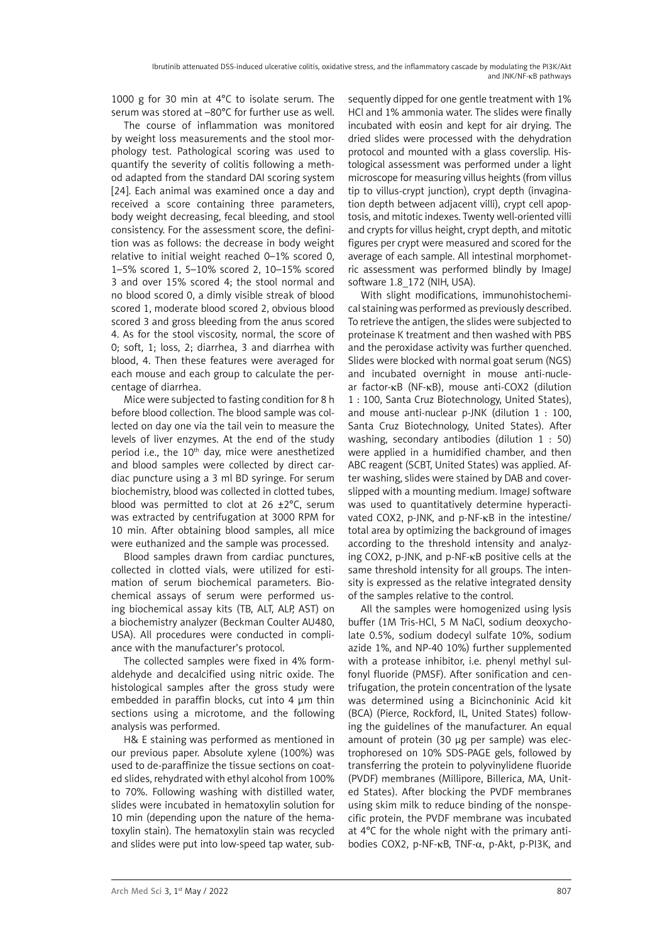1000 g for 30 min at 4°C to isolate serum. The serum was stored at –80°C for further use as well.

The course of inflammation was monitored by weight loss measurements and the stool morphology test. Pathological scoring was used to quantify the severity of colitis following a method adapted from the standard DAI scoring system [24]. Each animal was examined once a day and received a score containing three parameters, body weight decreasing, fecal bleeding, and stool consistency. For the assessment score, the definition was as follows: the decrease in body weight relative to initial weight reached 0–1% scored 0, 1–5% scored 1, 5–10% scored 2, 10–15% scored 3 and over 15% scored 4; the stool normal and no blood scored 0, a dimly visible streak of blood scored 1, moderate blood scored 2, obvious blood scored 3 and gross bleeding from the anus scored 4. As for the stool viscosity, normal, the score of 0; soft, 1; loss, 2; diarrhea, 3 and diarrhea with blood, 4. Then these features were averaged for each mouse and each group to calculate the percentage of diarrhea.

Mice were subjected to fasting condition for 8 h before blood collection. The blood sample was collected on day one via the tail vein to measure the levels of liver enzymes. At the end of the study period i.e., the  $10<sup>th</sup>$  day, mice were anesthetized and blood samples were collected by direct cardiac puncture using a 3 ml BD syringe. For serum biochemistry, blood was collected in clotted tubes, blood was permitted to clot at 26  $\pm$ 2°C, serum was extracted by centrifugation at 3000 RPM for 10 min. After obtaining blood samples, all mice were euthanized and the sample was processed.

Blood samples drawn from cardiac punctures, collected in clotted vials, were utilized for estimation of serum biochemical parameters. Biochemical assays of serum were performed using biochemical assay kits (TB, ALT, ALP, AST) on a biochemistry analyzer (Beckman Coulter AU480, USA). All procedures were conducted in compliance with the manufacturer's protocol.

The collected samples were fixed in 4% formaldehyde and decalcified using nitric oxide. The histological samples after the gross study were embedded in paraffin blocks, cut into 4 μm thin sections using a microtome, and the following analysis was performed.

H& E staining was performed as mentioned in our previous paper. Absolute xylene (100%) was used to de-paraffinize the tissue sections on coated slides, rehydrated with ethyl alcohol from 100% to 70%. Following washing with distilled water, slides were incubated in hematoxylin solution for 10 min (depending upon the nature of the hematoxylin stain). The hematoxylin stain was recycled and slides were put into low-speed tap water, subsequently dipped for one gentle treatment with 1% HCl and 1% ammonia water. The slides were finally incubated with eosin and kept for air drying. The dried slides were processed with the dehydration protocol and mounted with a glass coverslip. Histological assessment was performed under a light microscope for measuring villus heights (from villus tip to villus-crypt junction), crypt depth (invagination depth between adjacent villi), crypt cell apoptosis, and mitotic indexes. Twenty well-oriented villi and crypts for villus height, crypt depth, and mitotic figures per crypt were measured and scored for the average of each sample. All intestinal morphometric assessment was performed blindly by ImageJ software 1.8 172 (NIH, USA).

With slight modifications, immunohistochemical staining was performed as previously described. To retrieve the antigen, the slides were subjected to proteinase K treatment and then washed with PBS and the peroxidase activity was further quenched. Slides were blocked with normal goat serum (NGS) and incubated overnight in mouse anti-nuclear factor-κB (NF-κB), mouse anti-COX2 (dilution 1 : 100, Santa Cruz Biotechnology, United States), and mouse anti-nuclear p-JNK (dilution 1 : 100, Santa Cruz Biotechnology, United States). After washing, secondary antibodies (dilution 1 : 50) were applied in a humidified chamber, and then ABC reagent (SCBT, United States) was applied. After washing, slides were stained by DAB and coverslipped with a mounting medium. ImageJ software was used to quantitatively determine hyperactivated COX2, p-JNK, and p-NF-κB in the intestine/ total area by optimizing the background of images according to the threshold intensity and analyzing COX2, p-JNK, and p-NF-κB positive cells at the same threshold intensity for all groups. The intensity is expressed as the relative integrated density of the samples relative to the control.

All the samples were homogenized using lysis buffer (1M Tris-HCl, 5 M NaCl, sodium deoxycholate 0.5%, sodium dodecyl sulfate 10%, sodium azide 1%, and NP-40 10%) further supplemented with a protease inhibitor, i.e. phenyl methyl sulfonyl fluoride (PMSF). After sonification and centrifugation, the protein concentration of the lysate was determined using a Bicinchoninic Acid kit (BCA) (Pierce, Rockford, IL, United States) following the guidelines of the manufacturer. An equal amount of protein (30 µg per sample) was electrophoresed on 10% SDS-PAGE gels, followed by transferring the protein to polyvinylidene fluoride (PVDF) membranes (Millipore, Billerica, MA, United States). After blocking the PVDF membranes using skim milk to reduce binding of the nonspecific protein, the PVDF membrane was incubated at 4°C for the whole night with the primary antibodies COX2, p-NF-κB, TNF-α, p-Akt, p-PI3K, and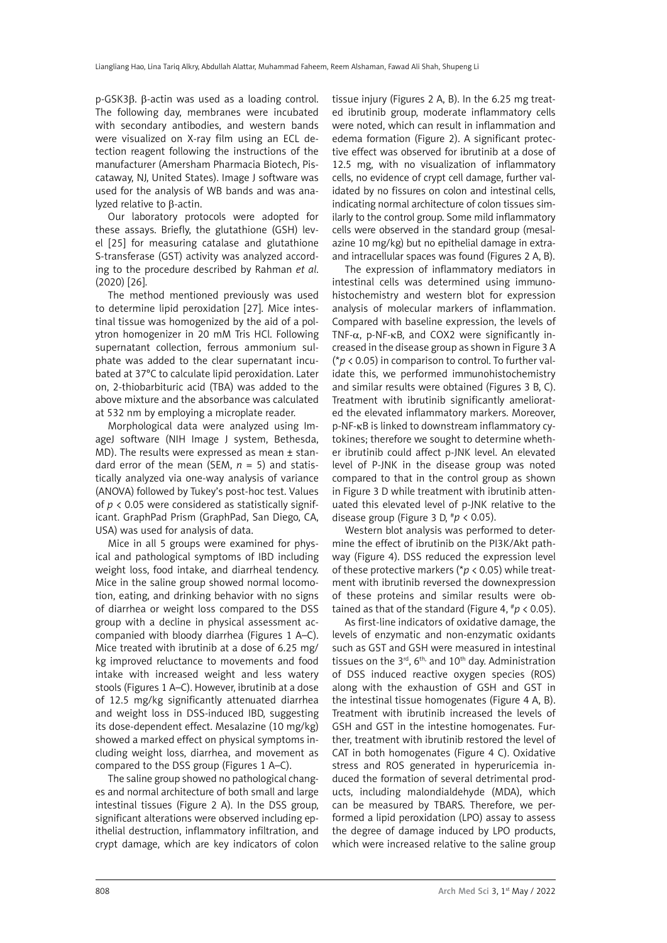p-GSK3β. β-actin was used as a loading control. The following day, membranes were incubated with secondary antibodies, and western bands were visualized on X-ray film using an ECL detection reagent following the instructions of the manufacturer (Amersham Pharmacia Biotech, Piscataway, NJ, United States). Image J software was used for the analysis of WB bands and was analyzed relative to β-actin.

Our laboratory protocols were adopted for these assays. Briefly, the glutathione (GSH) level [25] for measuring catalase and glutathione S-transferase (GST) activity was analyzed according to the procedure described by Rahman *et al*. (2020) [26].

The method mentioned previously was used to determine lipid peroxidation [27]. Mice intestinal tissue was homogenized by the aid of a polytron homogenizer in 20 mM Tris HCl. Following supernatant collection, ferrous ammonium sulphate was added to the clear supernatant incubated at 37°C to calculate lipid peroxidation. Later on, 2-thiobarbituric acid (TBA) was added to the above mixture and the absorbance was calculated at 532 nm by employing a microplate reader.

Morphological data were analyzed using ImageJ software (NIH Image J system, Bethesda, MD). The results were expressed as mean  $\pm$  standard error of the mean (SEM,  $n = 5$ ) and statistically analyzed via one-way analysis of variance (ANOVA) followed by Tukey's post-hoc test. Values of  $p < 0.05$  were considered as statistically significant. GraphPad Prism (GraphPad, San Diego, CA, USA) was used for analysis of data.

Mice in all 5 groups were examined for physical and pathological symptoms of IBD including weight loss, food intake, and diarrheal tendency. Mice in the saline group showed normal locomotion, eating, and drinking behavior with no signs of diarrhea or weight loss compared to the DSS group with a decline in physical assessment accompanied with bloody diarrhea (Figures 1 A–C). Mice treated with ibrutinib at a dose of 6.25 mg/ kg improved reluctance to movements and food intake with increased weight and less watery stools (Figures 1 A–C). However, ibrutinib at a dose of 12.5 mg/kg significantly attenuated diarrhea and weight loss in DSS-induced IBD, suggesting its dose-dependent effect. Mesalazine (10 mg/kg) showed a marked effect on physical symptoms including weight loss, diarrhea, and movement as compared to the DSS group (Figures 1 A–C).

The saline group showed no pathological changes and normal architecture of both small and large intestinal tissues (Figure 2 A). In the DSS group, significant alterations were observed including epithelial destruction, inflammatory infiltration, and crypt damage, which are key indicators of colon tissue injury (Figures 2 A, B). In the 6.25 mg treated ibrutinib group, moderate inflammatory cells were noted, which can result in inflammation and edema formation (Figure 2). A significant protective effect was observed for ibrutinib at a dose of 12.5 mg, with no visualization of inflammatory cells, no evidence of crypt cell damage, further validated by no fissures on colon and intestinal cells, indicating normal architecture of colon tissues similarly to the control group. Some mild inflammatory cells were observed in the standard group (mesalazine 10 mg/kg) but no epithelial damage in extraand intracellular spaces was found (Figures 2 A, B).

The expression of inflammatory mediators in intestinal cells was determined using immunohistochemistry and western blot for expression analysis of molecular markers of inflammation. Compared with baseline expression, the levels of TNF- $\alpha$ , p-NF- $\kappa$ B, and COX2 were significantly increased in the disease group as shown in Figure 3 A (\**p* < 0.05) in comparison to control. To further validate this, we performed immunohistochemistry and similar results were obtained (Figures 3 B, C). Treatment with ibrutinib significantly ameliorated the elevated inflammatory markers. Moreover, p-NF-κB is linked to downstream inflammatory cytokines; therefore we sought to determine whether ibrutinib could affect p-JNK level. An elevated level of P-JNK in the disease group was noted compared to that in the control group as shown in Figure 3 D while treatment with ibrutinib attenuated this elevated level of p-JNK relative to the disease group (Figure 3 D, #*p* < 0.05).

Western blot analysis was performed to determine the effect of ibrutinib on the PI3K/Akt pathway (Figure 4). DSS reduced the expression level of these protective markers (\**p* < 0.05) while treatment with ibrutinib reversed the downexpression of these proteins and similar results were obtained as that of the standard (Figure 4, #*p* < 0.05).

As first-line indicators of oxidative damage, the levels of enzymatic and non-enzymatic oxidants such as GST and GSH were measured in intestinal tissues on the  $3<sup>rd</sup>$ , 6<sup>th,</sup> and  $10<sup>th</sup>$  day. Administration of DSS induced reactive oxygen species (ROS) along with the exhaustion of GSH and GST in the intestinal tissue homogenates (Figure 4 A, B). Treatment with ibrutinib increased the levels of GSH and GST in the intestine homogenates. Further, treatment with ibrutinib restored the level of CAT in both homogenates (Figure 4 C). Oxidative stress and ROS generated in hyperuricemia induced the formation of several detrimental products, including malondialdehyde (MDA), which can be measured by TBARS. Therefore, we performed a lipid peroxidation (LPO) assay to assess the degree of damage induced by LPO products, which were increased relative to the saline group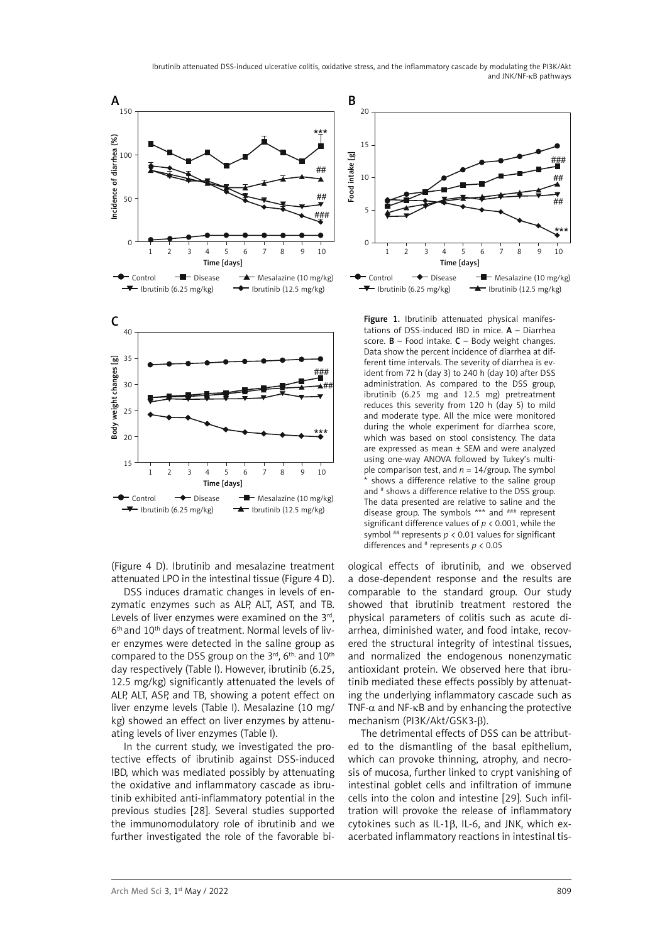

(Figure 4 D). Ibrutinib and mesalazine treatment attenuated LPO in the intestinal tissue (Figure 4 D).

DSS induces dramatic changes in levels of enzymatic enzymes such as ALP, ALT, AST, and TB. Levels of liver enzymes were examined on the  $3^{rd}$ , 6<sup>th</sup> and 10<sup>th</sup> days of treatment. Normal levels of liver enzymes were detected in the saline group as compared to the DSS group on the  $3^{\text{rd}}$ ,  $6^{\text{th}}$ , and  $10^{\text{th}}$ day respectively (Table I). However, ibrutinib (6.25, 12.5 mg/kg) significantly attenuated the levels of ALP, ALT, ASP, and TB, showing a potent effect on liver enzyme levels (Table I). Mesalazine (10 mg/ kg) showed an effect on liver enzymes by attenuating levels of liver enzymes (Table I).

In the current study, we investigated the protective effects of ibrutinib against DSS-induced IBD, which was mediated possibly by attenuating the oxidative and inflammatory cascade as ibrutinib exhibited anti-inflammatory potential in the previous studies [28]. Several studies supported the immunomodulatory role of ibrutinib and we further investigated the role of the favorable bi-



Figure 1. Ibrutinib attenuated physical manifestations of DSS-induced IBD in mice. A – Diarrhea score.  $B$  – Food intake.  $C$  – Body weight changes. Data show the percent incidence of diarrhea at different time intervals. The severity of diarrhea is evident from 72 h (day 3) to 240 h (day 10) after DSS administration. As compared to the DSS group, ibrutinib (6.25 mg and 12.5 mg) pretreatment reduces this severity from 120 h (day 5) to mild and moderate type. All the mice were monitored during the whole experiment for diarrhea score, which was based on stool consistency. The data are expressed as mean ± SEM and were analyzed using one-way ANOVA followed by Tukey's multiple comparison test, and  $n = 14$ /group. The symbol shows a difference relative to the saline group and # shows a difference relative to the DSS group. The data presented are relative to saline and the disease group. The symbols \*\*\* and ### represent significant difference values of *p* < 0.001, while the symbol  $^{**}$  represents  $p < 0.01$  values for significant differences and # represents *p* < 0.05

ological effects of ibrutinib, and we observed a dose-dependent response and the results are comparable to the standard group. Our study showed that ibrutinib treatment restored the physical parameters of colitis such as acute diarrhea, diminished water, and food intake, recovered the structural integrity of intestinal tissues, and normalized the endogenous nonenzymatic antioxidant protein. We observed here that ibrutinib mediated these effects possibly by attenuating the underlying inflammatory cascade such as TNF- $\alpha$  and NF- $\kappa$ B and by enhancing the protective mechanism (PI3K/Akt/GSK3-β).

The detrimental effects of DSS can be attributed to the dismantling of the basal epithelium, which can provoke thinning, atrophy, and necrosis of mucosa, further linked to crypt vanishing of intestinal goblet cells and infiltration of immune cells into the colon and intestine [29]. Such infiltration will provoke the release of inflammatory cytokines such as IL-1β, IL-6, and JNK, which exacerbated inflammatory reactions in intestinal tis-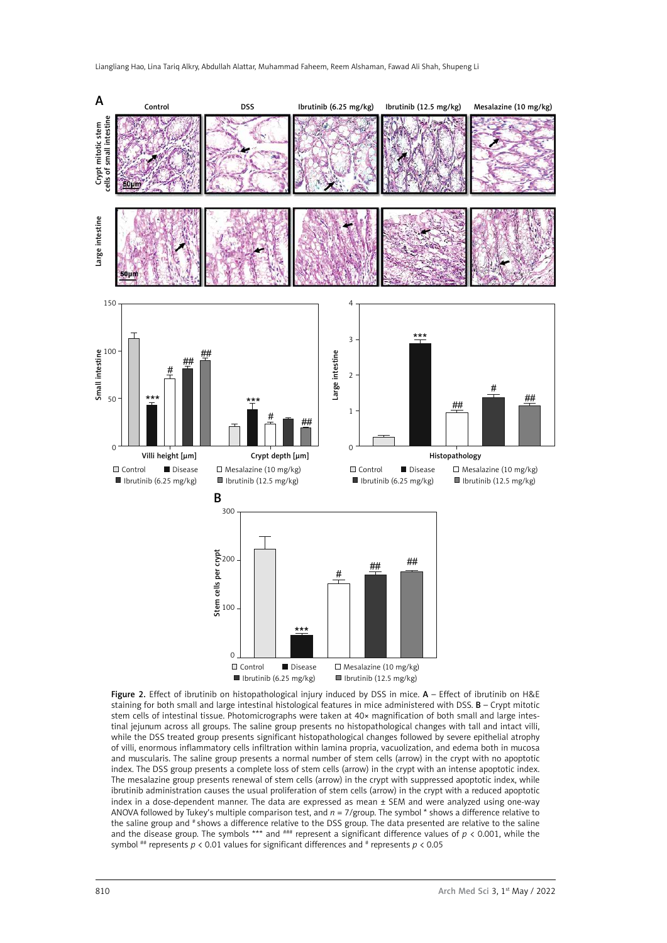

Figure 2. Effect of ibrutinib on histopathological injury induced by DSS in mice.  $A$  – Effect of ibrutinib on H&E staining for both small and large intestinal histological features in mice administered with DSS. B – Crypt mitotic stem cells of intestinal tissue. Photomicrographs were taken at 40× magnification of both small and large intestinal jejunum across all groups. The saline group presents no histopathological changes with tall and intact villi, while the DSS treated group presents significant histopathological changes followed by severe epithelial atrophy of villi, enormous inflammatory cells infiltration within lamina propria, vacuolization, and edema both in mucosa and muscularis. The saline group presents a normal number of stem cells (arrow) in the crypt with no apoptotic index. The DSS group presents a complete loss of stem cells (arrow) in the crypt with an intense apoptotic index. The mesalazine group presents renewal of stem cells (arrow) in the crypt with suppressed apoptotic index, while ibrutinib administration causes the usual proliferation of stem cells (arrow) in the crypt with a reduced apoptotic index in a dose-dependent manner. The data are expressed as mean ± SEM and were analyzed using one-way ANOVA followed by Tukey's multiple comparison test, and  $n = 7$ /group. The symbol \* shows a difference relative to the saline group and # shows a difference relative to the DSS group. The data presented are relative to the saline and the disease group. The symbols \*\*\* and  $^{***}$  represent a significant difference values of  $p < 0.001$ , while the symbol ## represents  $p < 0.01$  values for significant differences and # represents  $p < 0.05$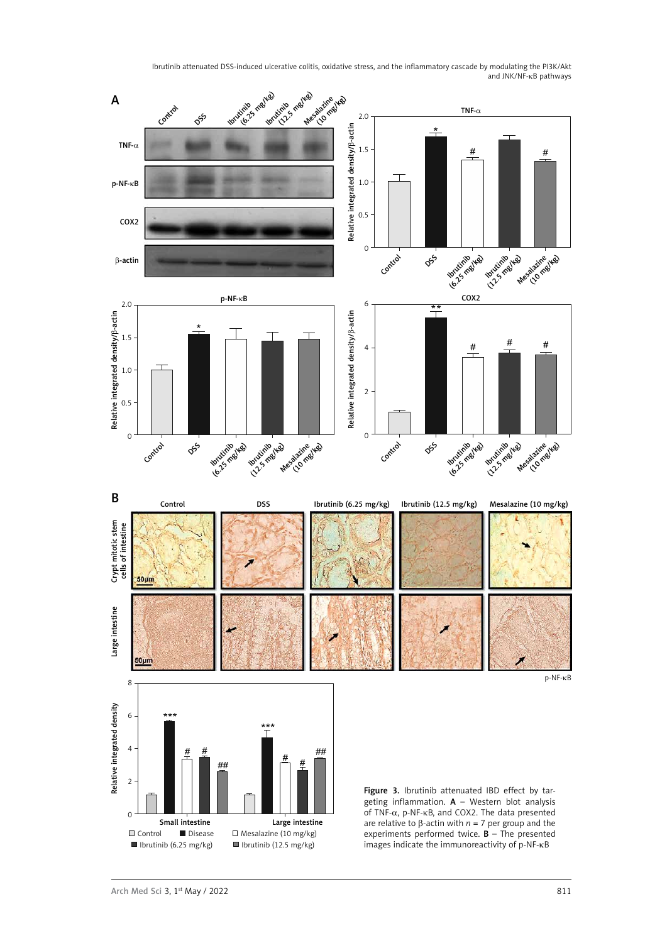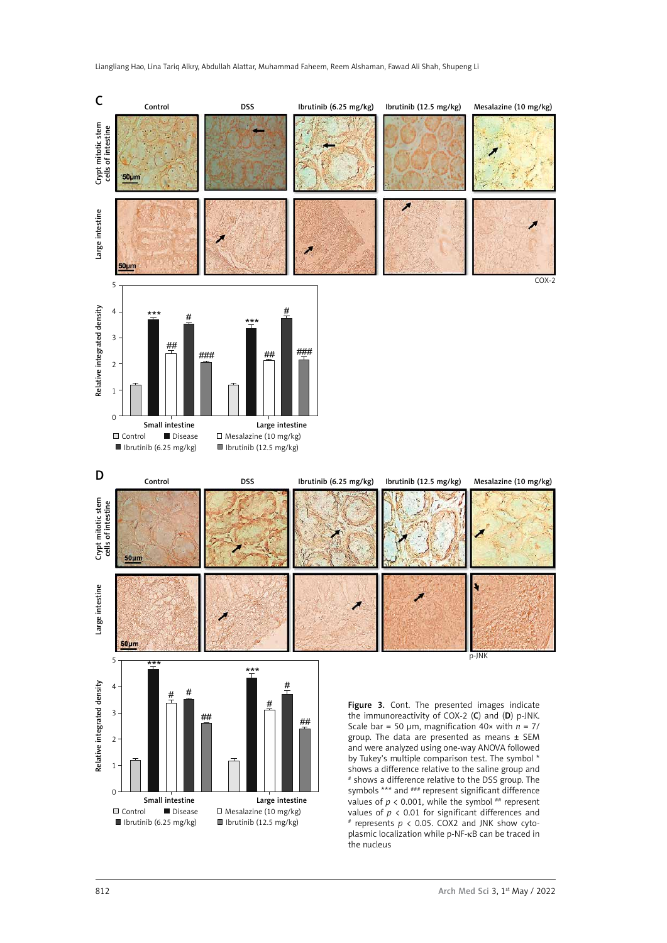

values of  $p < 0.01$  for significant differences and # represents  $p < 0.05$ . COX2 and JNK show cytoplasmic localization while p-NF-κB can be traced in the nucleus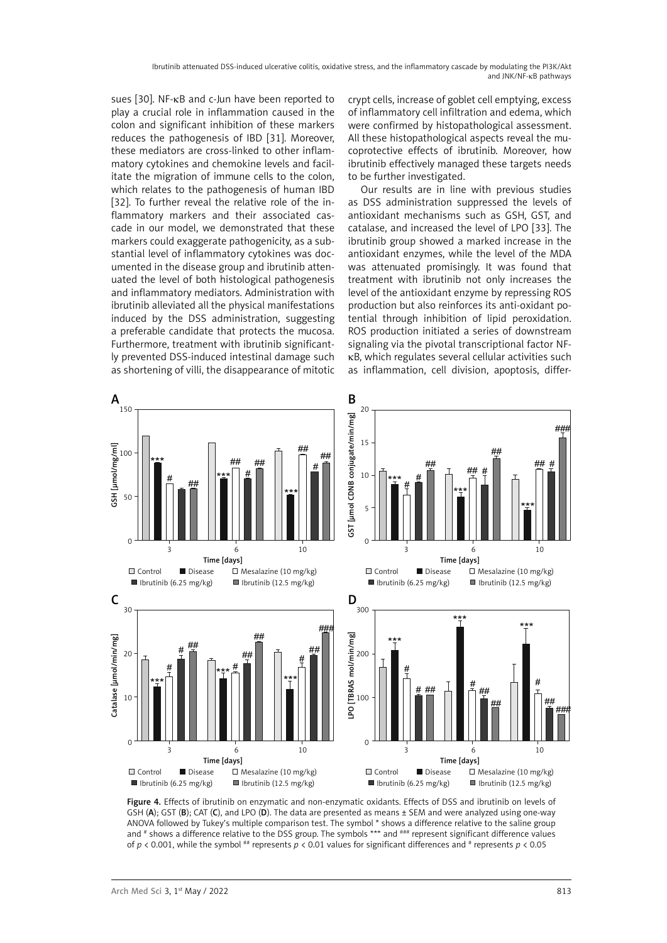sues [30]. NF-κB and c-Jun have been reported to play a crucial role in inflammation caused in the colon and significant inhibition of these markers reduces the pathogenesis of IBD [31]. Moreover, these mediators are cross-linked to other inflammatory cytokines and chemokine levels and facilitate the migration of immune cells to the colon, which relates to the pathogenesis of human IBD [32]. To further reveal the relative role of the inflammatory markers and their associated cascade in our model, we demonstrated that these markers could exaggerate pathogenicity, as a substantial level of inflammatory cytokines was documented in the disease group and ibrutinib attenuated the level of both histological pathogenesis and inflammatory mediators. Administration with ibrutinib alleviated all the physical manifestations induced by the DSS administration, suggesting a preferable candidate that protects the mucosa. Furthermore, treatment with ibrutinib significantly prevented DSS-induced intestinal damage such as shortening of villi, the disappearance of mitotic crypt cells, increase of goblet cell emptying, excess of inflammatory cell infiltration and edema, which were confirmed by histopathological assessment. All these histopathological aspects reveal the mucoprotective effects of ibrutinib. Moreover, how ibrutinib effectively managed these targets needs to be further investigated.

Our results are in line with previous studies as DSS administration suppressed the levels of antioxidant mechanisms such as GSH, GST, and catalase, and increased the level of LPO [33]. The ibrutinib group showed a marked increase in the antioxidant enzymes, while the level of the MDA was attenuated promisingly. It was found that treatment with ibrutinib not only increases the level of the antioxidant enzyme by repressing ROS production but also reinforces its anti-oxidant potential through inhibition of lipid peroxidation. ROS production initiated a series of downstream signaling via the pivotal transcriptional factor NFκB, which regulates several cellular activities such as inflammation, cell division, apoptosis, differ-



Figure 4. Effects of ibrutinib on enzymatic and non-enzymatic oxidants. Effects of DSS and ibrutinib on levels of GSH (A); GST (B); CAT (C), and LPO (D). The data are presented as means  $\pm$  SEM and were analyzed using one-way ANOVA followed by Tukey's multiple comparison test. The symbol \* shows a difference relative to the saline group and # shows a difference relative to the DSS group. The symbols \*\*\* and ### represent significant difference values of  $p < 0.001$ , while the symbol  $**$  represents  $p < 0.01$  values for significant differences and  $*$  represents  $p < 0.05$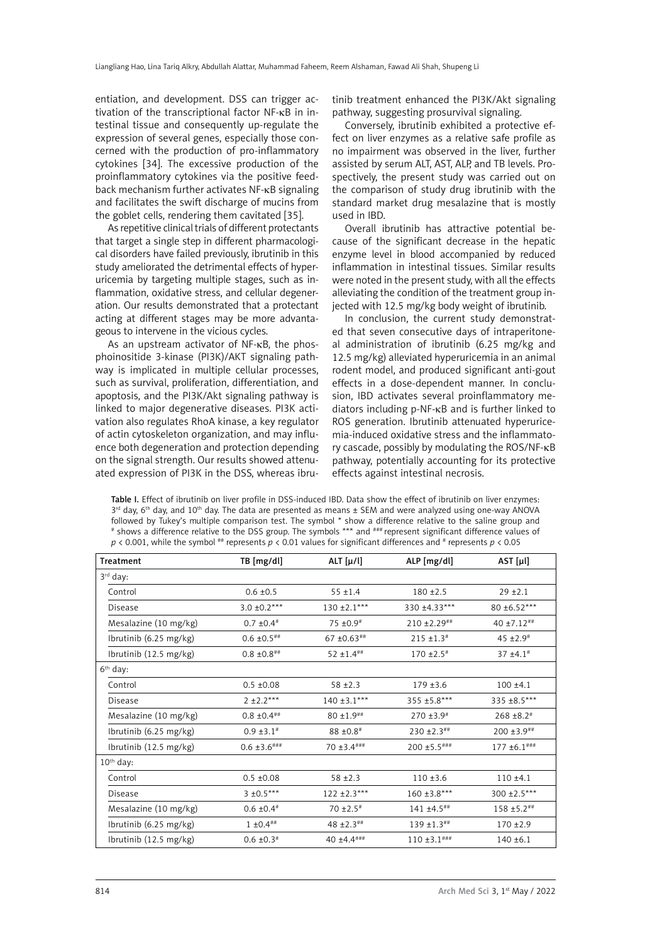entiation, and development. DSS can trigger activation of the transcriptional factor NF-κB in intestinal tissue and consequently up-regulate the expression of several genes, especially those concerned with the production of pro-inflammatory cytokines [34]. The excessive production of the proinflammatory cytokines via the positive feedback mechanism further activates NF-κB signaling and facilitates the swift discharge of mucins from the goblet cells, rendering them cavitated [35].

As repetitive clinical trials of different protectants that target a single step in different pharmacological disorders have failed previously, ibrutinib in this study ameliorated the detrimental effects of hyperuricemia by targeting multiple stages, such as inflammation, oxidative stress, and cellular degeneration. Our results demonstrated that a protectant acting at different stages may be more advantageous to intervene in the vicious cycles.

As an upstream activator of NF-κB, the phosphoinositide 3-kinase (PI3K)/AKT signaling pathway is implicated in multiple cellular processes, such as survival, proliferation, differentiation, and apoptosis, and the PI3K/Akt signaling pathway is linked to major degenerative diseases. PI3K activation also regulates RhoA kinase, a key regulator of actin cytoskeleton organization, and may influence both degeneration and protection depending on the signal strength. Our results showed attenuated expression of PI3K in the DSS, whereas ibrutinib treatment enhanced the PI3K/Akt signaling pathway, suggesting prosurvival signaling.

Conversely, ibrutinib exhibited a protective effect on liver enzymes as a relative safe profile as no impairment was observed in the liver, further assisted by serum ALT, AST, ALP, and TB levels. Prospectively, the present study was carried out on the comparison of study drug ibrutinib with the standard market drug mesalazine that is mostly used in IBD.

Overall ibrutinib has attractive potential because of the significant decrease in the hepatic enzyme level in blood accompanied by reduced inflammation in intestinal tissues. Similar results were noted in the present study, with all the effects alleviating the condition of the treatment group injected with 12.5 mg/kg body weight of ibrutinib.

In conclusion, the current study demonstrated that seven consecutive days of intraperitoneal administration of ibrutinib (6.25 mg/kg and 12.5 mg/kg) alleviated hyperuricemia in an animal rodent model, and produced significant anti-gout effects in a dose-dependent manner. In conclusion, IBD activates several proinflammatory mediators including p-NF-κB and is further linked to ROS generation. Ibrutinib attenuated hyperuricemia-induced oxidative stress and the inflammatory cascade, possibly by modulating the ROS/NF-κB pathway, potentially accounting for its protective effects against intestinal necrosis.

 $3^{rd}$  day, 6<sup>th</sup> day, and 10<sup>th</sup> day. The data are presented as means  $\pm$  SEM and were analyzed using one-way ANOVA followed by Tukey's multiple comparison test. The symbol \* show a difference relative to the saline group and # shows a difference relative to the DSS group. The symbols \*\*\* and ### represent significant difference values of  $p$  < 0.001, while the symbol ## represents  $p$  < 0.01 values for significant differences and # represents  $p$  < 0.05  $Control$   $0.6 \pm 0.5$   $55 \pm 1.4$   $180 \pm 2.5$   $29 \pm 2.1$ 

Table I. Effect of ibrutinib on liver profile in DSS-induced IBD. Data show the effect of ibrutinib on liver enzymes:

| $p \times 0.001$ , while the symbol energy represents $p \times 0.01$ values for significant unterefices and energy represents $p \times 0.05$ |                            |                    |                           |                           |
|------------------------------------------------------------------------------------------------------------------------------------------------|----------------------------|--------------------|---------------------------|---------------------------|
| Treatment                                                                                                                                      | TB [mg/dl]                 | ALT $[\mu/l]$      | ALP [mg/dl]               | AST [µ]                   |
| 3 <sup>rd</sup> day:                                                                                                                           |                            |                    |                           |                           |
| Control                                                                                                                                        | $0.6 \pm 0.5$              | $55 \pm 1.4$       | $180 + 2.5$               | $29 \pm 2.1$              |
| Disease                                                                                                                                        | $3.0 \pm 0.2***$           | $130 \pm 2.1***$   | 330 ±4.33***              | 80 ±6.52***               |
| Mesalazine (10 mg/kg)                                                                                                                          | $0.7 \pm 0.4$ #            | 75 $\pm 0.9^*$     | $210 \pm 2.29^{**}$       | 40 ±7.12 $^{***}$         |
| Ibrutinib (6.25 mg/kg)                                                                                                                         | $0.6 \pm 0.5$ ##           | $67 \pm 0.63$ ##   | $215 \pm 1.3^*$           | $45 \pm 2.9$ <sup>#</sup> |
| Ibrutinib (12.5 mg/kg)                                                                                                                         | $0.8 \pm 0.8$ ##           | $52 \pm 1.4^{***}$ | $170 \pm 2.5^*$           | $37 + 4.1$ <sup>#</sup>   |
| $6th$ day:                                                                                                                                     |                            |                    |                           |                           |
| Control                                                                                                                                        | $0.5 \pm 0.08$             | $58 \pm 2.3$       | $179 + 3.6$               | $100 \pm 4.1$             |
| Disease                                                                                                                                        | $2 + 2.2***$               | $140 \pm 3.1***$   | 355 ±5.8***               | 335 ±8.5***               |
| Mesalazine (10 mg/kg)                                                                                                                          | $0.8 \pm 0.4^{***}$        | $80 \pm 1.9$ ##    | $270 \pm 3.9^{\text{\#}}$ | $268 \pm 8.2$ #           |
| Ibrutinib (6.25 mg/kg)                                                                                                                         | $0.9 \pm 3.1^*$            | 88 ±0.8#           | $230 \pm 2.3$ ##          | 200 ±3.9##                |
| Ibrutinib (12.5 mg/kg)                                                                                                                         | $0.6 \pm 3.6$ ###          | 70 ±3.4###         | $200 \pm 5.5$ ###         | $177 \pm 6.1$ ###         |
| $10th$ day:                                                                                                                                    |                            |                    |                           |                           |
| Control                                                                                                                                        | $0.5 \pm 0.08$             | $58 + 2.3$         | $110 + 3.6$               | $110 + 4.1$               |
| Disease                                                                                                                                        | $3 \pm 0.5***$             | $122 \pm 2.3***$   | $160 + 3.8***$            | 300 ±2.5***               |
| Mesalazine (10 mg/kg)                                                                                                                          | $0.6 \pm 0.4$ #            | $70 \pm 2.5$ #     | $141 \pm 4.5$ ##          | $158 + 5.2$ ##            |
| Ibrutinib (6.25 mg/kg)                                                                                                                         | $1 \pm 0.4^{+}$            | $48 \pm 2.3$ ##    | $139 + 1.3$ ##            | $170 + 2.9$               |
| Ibrutinib (12.5 mg/kg)                                                                                                                         | $0.6 \pm 0.3$ <sup>#</sup> | 40 $±4.4***$       | $110 \pm 3.1***$          | $140 \pm 6.1$             |
|                                                                                                                                                |                            |                    |                           |                           |